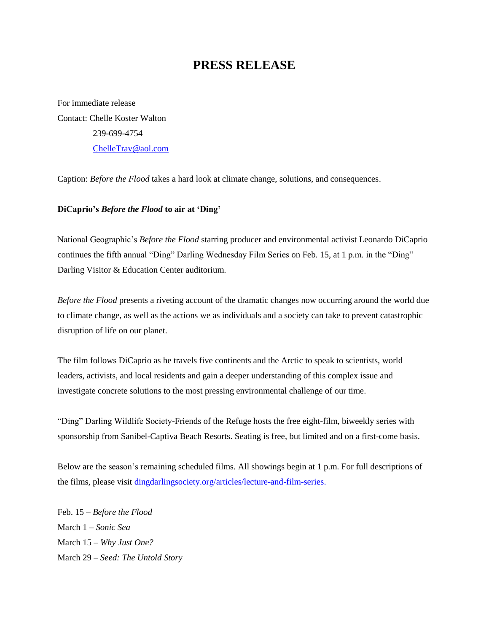## **PRESS RELEASE**

For immediate release Contact: Chelle Koster Walton 239-699-4754 [ChelleTrav@aol.com](mailto:ChelleTrav@aol.com)

Caption: *Before the Flood* takes a hard look at climate change, solutions, and consequences.

## **DiCaprio's** *Before the Flood* **to air at 'Ding'**

National Geographic's *Before the Flood* starring producer and environmental activist Leonardo DiCaprio continues the fifth annual "Ding" Darling Wednesday Film Series on Feb. 15, at 1 p.m. in the "Ding" Darling Visitor & Education Center auditorium.

*Before the Flood* presents a riveting account of the dramatic changes now occurring around the world due to climate change, as well as the actions we as individuals and a society can take to prevent catastrophic disruption of life on our planet.

The film follows DiCaprio as he travels five continents and the Arctic to speak to scientists, world leaders, activists, and local residents and gain a deeper understanding of this complex issue and investigate concrete solutions to the most pressing environmental challenge of our time.

"Ding" Darling Wildlife Society-Friends of the Refuge hosts the free eight-film, biweekly series with sponsorship from Sanibel-Captiva Beach Resorts. Seating is free, but limited and on a first-come basis.

Below are the season's remaining scheduled films. All showings begin at 1 p.m. For full descriptions of the films, please visit [dingdarlingsociety.org/articles/lecture-and-film-series.](http://www.dingdarlingsociety.org/films)

Feb. 15 – *Before the Flood* March 1 – *Sonic Sea* March 15 – *Why Just One?* March 29 – *Seed: The Untold Story*